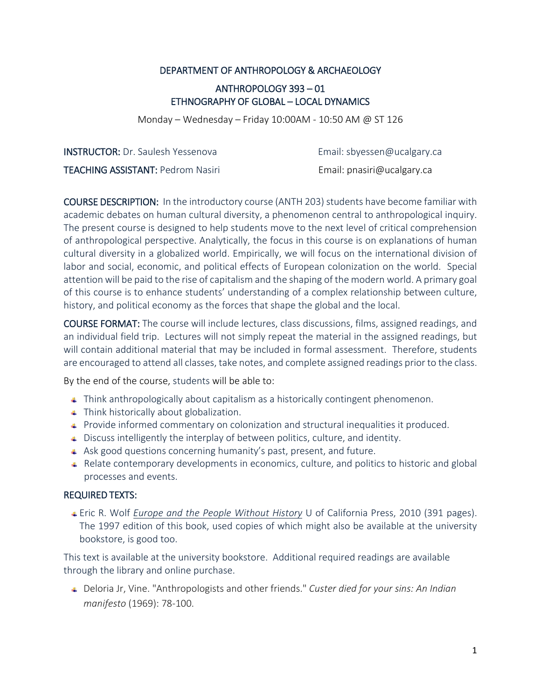#### DEPARTMENT OF ANTHROPOLOGY & ARCHAEOLOGY

# ANTHROPOLOGY 393 – 01 ETHNOGRAPHY OF GLOBAL – LOCAL DYNAMICS

Monday – Wednesday – Friday 10:00AM - 10:50 AM @ ST 126

**INSTRUCTOR:** Dr. Saulesh Yessenova **Email: [sbyessen@ucalgary.ca](mailto:sbyessen@ucalgary.ca)** TEACHING ASSISTANT: Pedrom Nasiri **Email:** pnasiri@ucalgary.ca

COURSE DESCRIPTION: In the introductory course (ANTH 203) students have become familiar with academic debates on human cultural diversity, a phenomenon central to anthropological inquiry. The present course is designed to help students move to the next level of critical comprehension of anthropological perspective. Analytically, the focus in this course is on explanations of human cultural diversity in a globalized world. Empirically, we will focus on the international division of labor and social, economic, and political effects of European colonization on the world. Special attention will be paid to the rise of capitalism and the shaping of the modern world. A primary goal of this course is to enhance students' understanding of a complex relationship between culture, history, and political economy as the forces that shape the global and the local.

COURSE FORMAT: The course will include lectures, class discussions, films, assigned readings, and an individual field trip. Lectures will not simply repeat the material in the assigned readings, but will contain additional material that may be included in formal assessment. Therefore, students are encouraged to attend all classes, take notes, and complete assigned readings prior to the class.

By the end of the course, students will be able to:

- Think anthropologically about capitalism as a historically contingent phenomenon.
- **Think historically about globalization.**
- **Provide informed commentary on colonization and structural inequalities it produced.**
- Discuss intelligently the interplay of between politics, culture, and identity.
- Ask good questions concerning humanity's past, present, and future.
- Relate contemporary developments in economics, culture, and politics to historic and global processes and events.

#### REQUIRED TEXTS:

Eric R. Wolf *Europe and the People Without History* U of California Press, 2010 (391 pages). The 1997 edition of this book, used copies of which might also be available at the university bookstore, is good too.

This text is available at the university bookstore. Additional required readings are available through the library and online purchase.

Deloria Jr, Vine. "Anthropologists and other friends." *Custer died for your sins: An Indian manifesto* (1969): 78-100.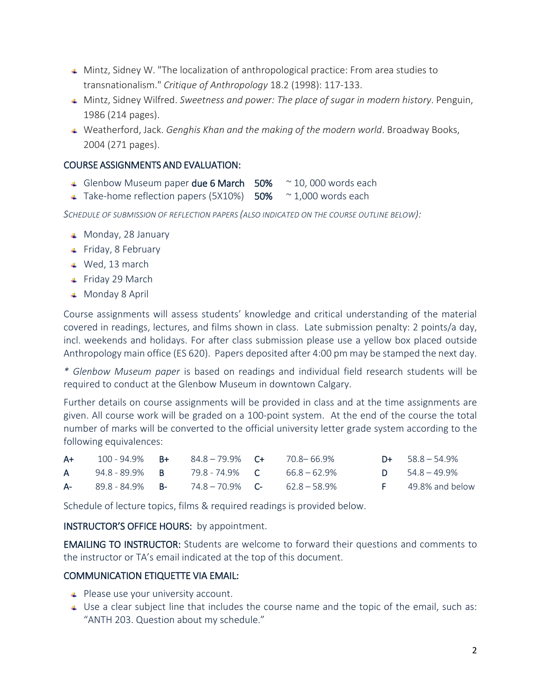- Mintz, Sidney W. "The localization of anthropological practice: From area studies to transnationalism." *Critique of Anthropology* 18.2 (1998): 117-133.
- Mintz, Sidney Wilfred. *Sweetness and power: The place of sugar in modern history*. Penguin, 1986 (214 pages).
- Weatherford, Jack. *Genghis Khan and the making of the modern world*. Broadway Books, 2004 (271 pages).

## COURSE ASSIGNMENTS AND EVALUATION:

- Glenbow Museum paper due 6 March  $50\%$  ~ 10,000 words each
- $\overline{\phantom{0}}$  Take-home reflection papers (5X10%) 50%  $\sim$  1,000 words each

*SCHEDULE OF SUBMISSION OF REFLECTION PAPERS (ALSO INDICATED ON THE COURSE OUTLINE BELOW):*

- $\textcolor{red}{\bullet}$  Monday, 28 January
- $\leftarrow$  Friday, 8 February
- Wed, 13 march
- Friday 29 March
- Monday 8 April

Course assignments will assess students' knowledge and critical understanding of the material covered in readings, lectures, and films shown in class. Late submission penalty: 2 points/a day, incl. weekends and holidays. For after class submission please use a yellow box placed outside Anthropology main office (ES 620). Papers deposited after 4:00 pm may be stamped the next day.

*\* Glenbow Museum paper* is based on readings and individual field research students will be required to conduct at the Glenbow Museum in downtown Calgary.

Further details on course assignments will be provided in class and at the time assignments are given. All course work will be graded on a 100-point system. At the end of the course the total number of marks will be converted to the official university letter grade system according to the following equivalences:

| $A+$ | $100 - 94.9\%$ B+                | 84.8-79.9% <b>C+</b>               | 70.8–66.9% | $D+$ 58.8 – 54.9%      |
|------|----------------------------------|------------------------------------|------------|------------------------|
| A.   | 94.8 - 89.9% B                   | 79.8 - 74.9% <b>C</b> 66.8 – 62.9% |            | $D = 54.8 - 49.9%$     |
|      | <b>A-</b> 89.8 - 84.9% <b>B-</b> | $74.8 - 70.9\%$ C- $62.8 - 58.9\%$ |            | $F = 49.8\%$ and below |

Schedule of lecture topics, films & required readings is provided below.

INSTRUCTOR'S OFFICE HOURS: by appointment.

EMAILING TO INSTRUCTOR: Students are welcome to forward their questions and comments to the instructor or TA's email indicated at the top of this document.

## COMMUNICATION ETIQUETTE VIA EMAIL:

- $\leftarrow$  Please use your university account.
- $\overline{\phantom{a}}$  Use a clear subject line that includes the course name and the topic of the email, such as: "ANTH 203. Question about my schedule."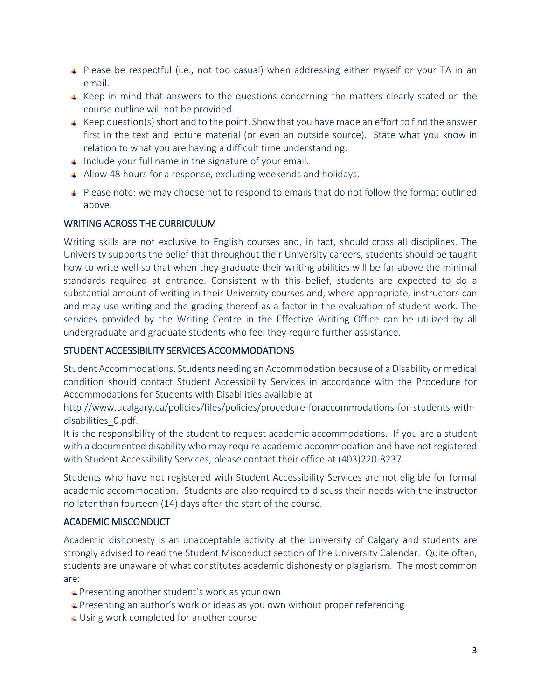- **↓** Please be respectful (i.e., not too casual) when addressing either myself or your TA in an email.
- $\uparrow$  Keep in mind that answers to the questions concerning the matters clearly stated on the course outline will not be provided.
- $\triangleq$  Keep question(s) short and to the point. Show that you have made an effort to find the answer first in the text and lecture material (or even an outside source). State what you know in relation to what you are having a difficult time understanding.
- $\Box$  Include your full name in the signature of your email.
- Allow 48 hours for a response, excluding weekends and holidays.
- $\uparrow$  Please note: we may choose not to respond to emails that do not follow the format outlined above.

## WRITING ACROSS THE CURRICULUM

Writing skills are not exclusive to English courses and, in fact, should cross all disciplines. The University supports the belief that throughout their University careers, students should be taught how to write well so that when they graduate their writing abilities will be far above the minimal standards required at entrance. Consistent with this belief, students are expected to do a substantial amount of writing in their University courses and, where appropriate, instructors can and may use writing and the grading thereof as a factor in the evaluation of student work. The services provided by the Writing Centre in the Effective Writing Office can be utilized by all undergraduate and graduate students who feel they require further assistance.

# STUDENT ACCESSIBILITY SERVICES ACCOMMODATIONS

Student Accommodations. Students needing an Accommodation because of a Disability or medical condition should contact Student Accessibility Services in accordance with the Procedure for Accommodations for Students with Disabilities available at

http://www.ucalgary.ca/policies/files/policies/procedure-foraccommodations-for-students-withdisabilities\_0.pdf.

It is the responsibility of the student to request academic accommodations. If you are a student with a documented disability who may require academic accommodation and have not registered with Student Accessibility Services, please contact their office at (403)220-8237.

Students who have not registered with Student Accessibility Services are not eligible for formal academic accommodation. Students are also required to discuss their needs with the instructor no later than fourteen (14) days after the start of the course.

## ACADEMIC MISCONDUCT

Academic dishonesty is an unacceptable activity at the University of Calgary and students are strongly advised to read the Student Misconduct section of the University Calendar. Quite often, students are unaware of what constitutes academic dishonesty or plagiarism. The most common are:

- **↓** Presenting another student's work as your own
- **Presenting an author's work or ideas as you own without proper referencing**
- Using work completed for another course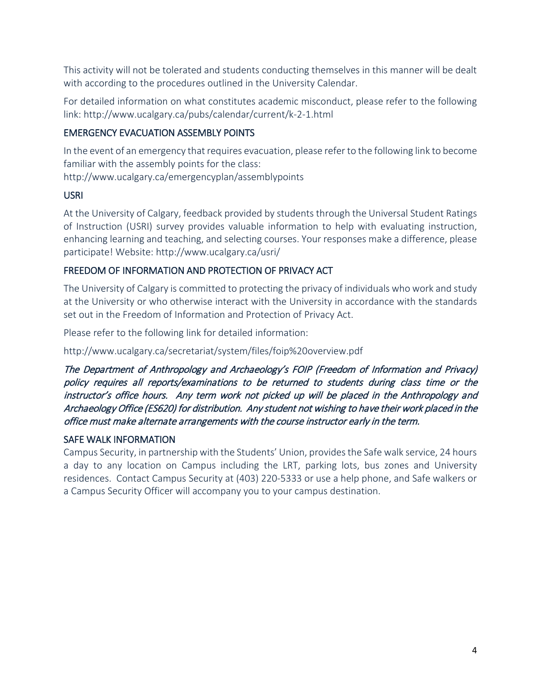This activity will not be tolerated and students conducting themselves in this manner will be dealt with according to the procedures outlined in the University Calendar.

For detailed information on what constitutes academic misconduct, please refer to the following link: http://www.ucalgary.ca/pubs/calendar/current/k-2-1.html

## EMERGENCY EVACUATION ASSEMBLY POINTS

In the event of an emergency that requires evacuation, please refer to the following link to become familiar with the assembly points for the class:

http://www.ucalgary.ca/emergencyplan/assemblypoints

## USRI

At the University of Calgary, feedback provided by students through the Universal Student Ratings of Instruction (USRI) survey provides valuable information to help with evaluating instruction, enhancing learning and teaching, and selecting courses. Your responses make a difference, please participate! Website: http://www.ucalgary.ca/usri/

## FREEDOM OF INFORMATION AND PROTECTION OF PRIVACY ACT

The University of Calgary is committed to protecting the privacy of individuals who work and study at the University or who otherwise interact with the University in accordance with the standards set out in the Freedom of Information and Protection of Privacy Act.

Please refer to the following link for detailed information:

http://www.ucalgary.ca/secretariat/system/files/foip%20overview.pdf

The Department of Anthropology and Archaeology's FOIP (Freedom of Information and Privacy) policy requires all reports/examinations to be returned to students during class time or the instructor's office hours. Any term work not picked up will be placed in the Anthropology and Archaeology Office (ES620) for distribution. Any student not wishing to have their work placed in the office must make alternate arrangements with the course instructor early in the term.

## SAFE WALK INFORMATION

Campus Security, in partnership with the Students' Union, provides the Safe walk service, 24 hours a day to any location on Campus including the LRT, parking lots, bus zones and University residences. Contact Campus Security at (403) 220-5333 or use a help phone, and Safe walkers or a Campus Security Officer will accompany you to your campus destination.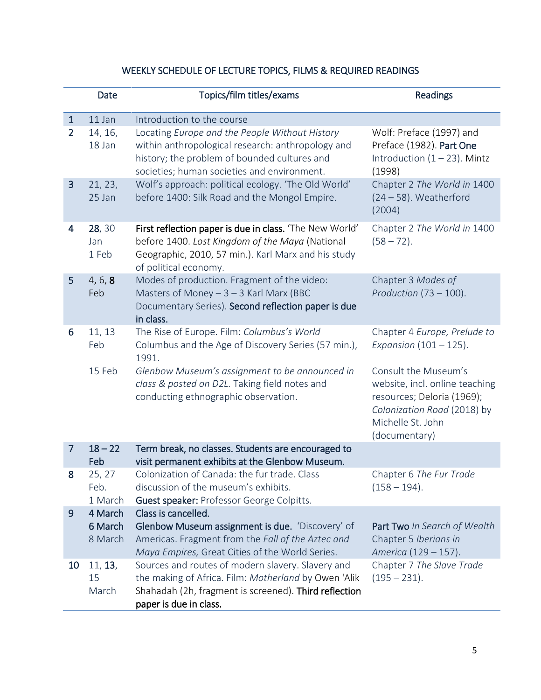# WEEKLY SCHEDULE OF LECTURE TOPICS, FILMS & REQUIRED READINGS

|                | Date                          | Topics/film titles/exams                                                                                                                                                                           | Readings                                                                                                                                                  |
|----------------|-------------------------------|----------------------------------------------------------------------------------------------------------------------------------------------------------------------------------------------------|-----------------------------------------------------------------------------------------------------------------------------------------------------------|
| $\mathbf{1}$   | 11 Jan                        | Introduction to the course                                                                                                                                                                         |                                                                                                                                                           |
| $\overline{2}$ | 14, 16,<br>18 Jan             | Locating Europe and the People Without History<br>within anthropological research: anthropology and<br>history; the problem of bounded cultures and<br>societies; human societies and environment. | Wolf: Preface (1997) and<br>Preface (1982). Part One<br>Introduction $(1 - 23)$ . Mintz<br>(1998)                                                         |
| 3              | 21, 23,<br>25 Jan             | Wolf's approach: political ecology. 'The Old World'<br>before 1400: Silk Road and the Mongol Empire.                                                                                               | Chapter 2 The World in 1400<br>$(24 – 58)$ . Weatherford<br>(2004)                                                                                        |
| 4              | 28, 30<br>Jan<br>1 Feb        | First reflection paper is due in class. 'The New World'<br>before 1400. Lost Kingdom of the Maya (National<br>Geographic, 2010, 57 min.). Karl Marx and his study<br>of political economy.         | Chapter 2 The World in 1400<br>$(58 - 72)$ .                                                                                                              |
| 5              | 4, 6, 8<br>Feb                | Modes of production. Fragment of the video:<br>Masters of Money $-3 - 3$ Karl Marx (BBC<br>Documentary Series). Second reflection paper is due<br>in class.                                        | Chapter 3 Modes of<br>Production $(73 - 100)$ .                                                                                                           |
| 6              | 11, 13<br>Feb                 | The Rise of Europe. Film: Columbus's World<br>Columbus and the Age of Discovery Series (57 min.),<br>1991.                                                                                         | Chapter 4 Europe, Prelude to<br>Expansion $(101 - 125)$ .                                                                                                 |
|                | 15 Feb                        | Glenbow Museum's assignment to be announced in<br>class & posted on D2L. Taking field notes and<br>conducting ethnographic observation.                                                            | Consult the Museum's<br>website, incl. online teaching<br>resources; Deloria (1969);<br>Colonization Road (2018) by<br>Michelle St. John<br>(documentary) |
| $\overline{7}$ | $18 - 22$<br>Feb              | Term break, no classes. Students are encouraged to<br>visit permanent exhibits at the Glenbow Museum.                                                                                              |                                                                                                                                                           |
| 8              | 25, 27<br>Feb.<br>1 March     | Colonization of Canada: the fur trade. Class<br>discussion of the museum's exhibits.<br>Guest speaker: Professor George Colpitts.                                                                  | Chapter 6 The Fur Trade<br>$(158 - 194).$                                                                                                                 |
| 9              | 4 March<br>6 March<br>8 March | Class is cancelled.<br>Glenbow Museum assignment is due. 'Discovery' of<br>Americas. Fragment from the Fall of the Aztec and<br>Maya Empires, Great Cities of the World Series.                    | Part Two In Search of Wealth<br>Chapter 5 Iberians in<br>America (129 - 157).                                                                             |
| 10             | 11, 13,<br>15<br>March        | Sources and routes of modern slavery. Slavery and<br>the making of Africa. Film: Motherland by Owen 'Alik<br>Shahadah (2h, fragment is screened). Third reflection<br>paper is due in class.       | Chapter 7 The Slave Trade<br>$(195 - 231).$                                                                                                               |